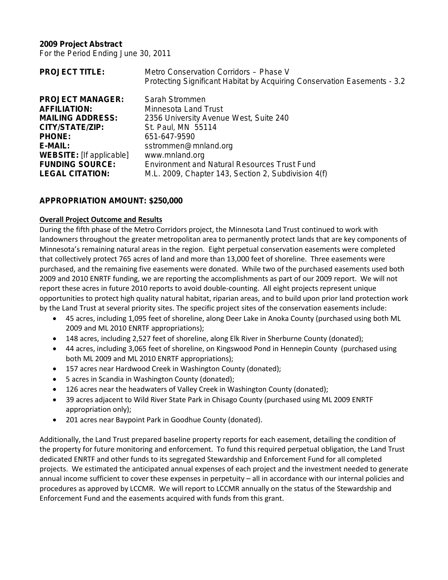### **2009 Project Abstract**

For the Period Ending June 30, 2011

| <b>PROJECT TITLE:</b>           | Metro Conservation Corridors - Phase V<br>Protecting Significant Habitat by Acquiring Conservation Easements - 3.2 |
|---------------------------------|--------------------------------------------------------------------------------------------------------------------|
| <b>PROJECT MANAGER:</b>         | Sarah Strommen                                                                                                     |
| <b>AFFILIATION:</b>             | <b>Minnesota Land Trust</b>                                                                                        |
| <b>MAILING ADDRESS:</b>         | 2356 University Avenue West, Suite 240                                                                             |
| CITY/STATE/ZIP:                 | St. Paul, MN 55114                                                                                                 |
| <b>PHONE:</b>                   | 651-647-9590                                                                                                       |
| E-MAIL:                         | sstrommen@mnland.org                                                                                               |
| <b>WEBSITE:</b> [If applicable] | www.mnland.org                                                                                                     |
| <b>FUNDING SOURCE:</b>          | <b>Environment and Natural Resources Trust Fund</b>                                                                |
| <b>LEGAL CITATION:</b>          | M.L. 2009, Chapter 143, Section 2, Subdivision 4(f)                                                                |

## **APPROPRIATION AMOUNT: \$250,000**

### **Overall Project Outcome and Results**

During the fifth phase of the Metro Corridors project, the Minnesota Land Trust continued to work with landowners throughout the greater metropolitan area to permanently protect lands that are key components of Minnesota's remaining natural areas in the region. Eight perpetual conservation easements were completed that collectively protect 765 acres of land and more than 13,000 feet of shoreline. Three easements were purchased, and the remaining five easements were donated. While two of the purchased easements used both 2009 and 2010 ENRTF funding, we are reporting the accomplishments as part of our 2009 report. We will not report these acres in future 2010 reports to avoid double-counting. All eight projects represent unique opportunities to protect high quality natural habitat, riparian areas, and to build upon prior land protection work by the Land Trust at several priority sites. The specific project sites of the conservation easements include:

- 45 acres, including 1,095 feet of shoreline, along Deer Lake in Anoka County (purchased using both ML 2009 and ML 2010 ENRTF appropriations);
- 148 acres, including 2,527 feet of shoreline, along Elk River in Sherburne County (donated);
- 44 acres, including 3,065 feet of shoreline, on Kingswood Pond in Hennepin County (purchased using both ML 2009 and ML 2010 ENRTF appropriations);
- 157 acres near Hardwood Creek in Washington County (donated);
- 5 acres in Scandia in Washington County (donated);
- 126 acres near the headwaters of Valley Creek in Washington County (donated);
- 39 acres adjacent to Wild River State Park in Chisago County (purchased using ML 2009 ENRTF appropriation only);
- 201 acres near Baypoint Park in Goodhue County (donated).

Additionally, the Land Trust prepared baseline property reports for each easement, detailing the condition of the property for future monitoring and enforcement. To fund this required perpetual obligation, the Land Trust dedicated ENRTF and other funds to its segregated Stewardship and Enforcement Fund for all completed projects. We estimated the anticipated annual expenses of each project and the investment needed to generate annual income sufficient to cover these expenses in perpetuity – all in accordance with our internal policies and procedures as approved by LCCMR. We will report to LCCMR annually on the status of the Stewardship and Enforcement Fund and the easements acquired with funds from this grant.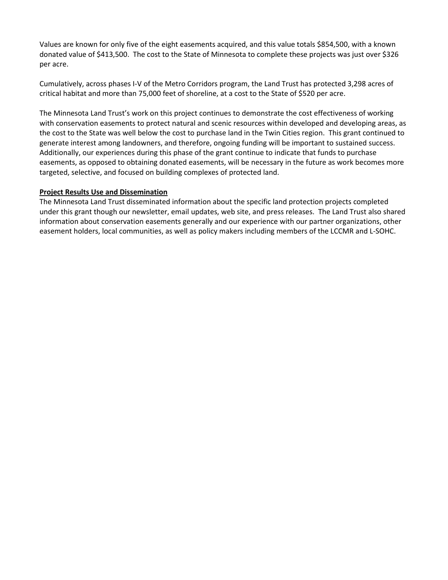Values are known for only five of the eight easements acquired, and this value totals \$854,500, with a known donated value of \$413,500. The cost to the State of Minnesota to complete these projects was just over \$326 per acre.

Cumulatively, across phases I-V of the Metro Corridors program, the Land Trust has protected 3,298 acres of critical habitat and more than 75,000 feet of shoreline, at a cost to the State of \$520 per acre.

The Minnesota Land Trust's work on this project continues to demonstrate the cost effectiveness of working with conservation easements to protect natural and scenic resources within developed and developing areas, as the cost to the State was well below the cost to purchase land in the Twin Cities region. This grant continued to generate interest among landowners, and therefore, ongoing funding will be important to sustained success. Additionally, our experiences during this phase of the grant continue to indicate that funds to purchase easements, as opposed to obtaining donated easements, will be necessary in the future as work becomes more targeted, selective, and focused on building complexes of protected land.

### **Project Results Use and Dissemination**

The Minnesota Land Trust disseminated information about the specific land protection projects completed under this grant though our newsletter, email updates, web site, and press releases. The Land Trust also shared information about conservation easements generally and our experience with our partner organizations, other easement holders, local communities, as well as policy makers including members of the LCCMR and L-SOHC.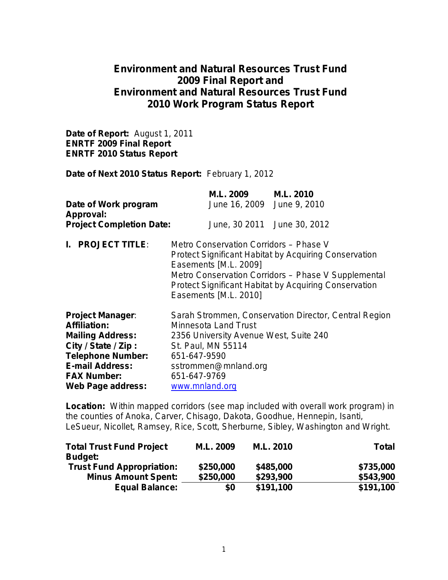# **Environment and Natural Resources Trust Fund 2009 Final Report and Environment and Natural Resources Trust Fund 2010 Work Program Status Report**

**Date of Report:** August 1, 2011 **ENRTF 2009 Final Report ENRTF 2010 Status Report**

**Date of Next 2010 Status Report:** February 1, 2012

| Date of Work program<br>Approval:<br><b>Project Completion Date:</b>                                                                                                                                     |                                                                                                                                                                                                                                | M.L. 2009 M.L. 2010<br>June 16, 2009 June 9, 2010 | June, 30 2011 June 30, 2012                                                                                                                                                         |
|----------------------------------------------------------------------------------------------------------------------------------------------------------------------------------------------------------|--------------------------------------------------------------------------------------------------------------------------------------------------------------------------------------------------------------------------------|---------------------------------------------------|-------------------------------------------------------------------------------------------------------------------------------------------------------------------------------------|
| I. PROJECT TITLE:                                                                                                                                                                                        | Metro Conservation Corridors - Phase V<br>Easements [M.L. 2009]<br>Easements [M.L. 2010]                                                                                                                                       |                                                   | <b>Protect Significant Habitat by Acquiring Conservation</b><br>Metro Conservation Corridors - Phase V Supplemental<br><b>Protect Significant Habitat by Acquiring Conservation</b> |
| <b>Project Manager:</b><br><b>Affiliation:</b><br><b>Mailing Address:</b><br>City / State / Zip:<br><b>Telephone Number:</b><br><b>E-mail Address:</b><br><b>FAX Number:</b><br><b>Web Page address:</b> | Sarah Strommen, Conservation Director, Central Region<br><b>Minnesota Land Trust</b><br>2356 University Avenue West, Suite 240<br>St. Paul, MN 55114<br>651-647-9590<br>sstrommen@mnland.org<br>651-647-9769<br>www.mnland.org |                                                   |                                                                                                                                                                                     |

**Location:**Within mapped corridors (see map included with overall work program) in the counties of Anoka, Carver, Chisago, Dakota, Goodhue, Hennepin, Isanti, LeSueur, Nicollet, Ramsey, Rice, Scott, Sherburne, Sibley, Washington and Wright.

| <b>Total Trust Fund Project</b>  | M.L. 2009 | M.L. 2010 | <b>Total</b> |
|----------------------------------|-----------|-----------|--------------|
| <b>Budget:</b>                   |           |           |              |
| <b>Trust Fund Appropriation:</b> | \$250,000 | \$485,000 | \$735,000    |
| <b>Minus Amount Spent:</b>       | \$250,000 | \$293,900 | \$543,900    |
| <b>Equal Balance:</b>            | \$0       | \$191,100 | \$191,100    |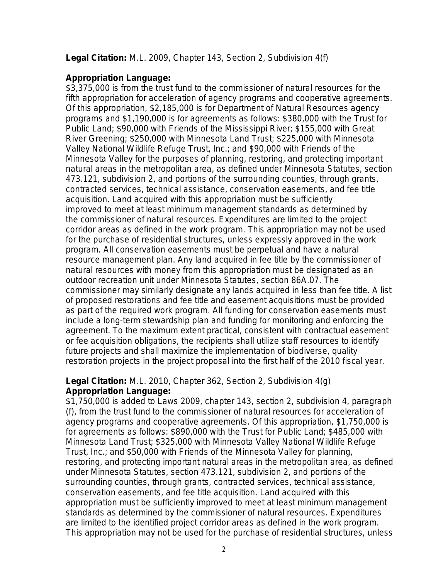## **Legal Citation:** M.L. 2009, Chapter 143, Section 2, Subdivision 4(f)

## **Appropriation Language:**

\$3,375,000 is from the trust fund to the commissioner of natural resources for the fifth appropriation for acceleration of agency programs and cooperative agreements. Of this appropriation, \$2,185,000 is for Department of Natural Resources agency programs and \$1,190,000 is for agreements as follows: \$380,000 with the Trust for Public Land; \$90,000 with Friends of the Mississippi River; \$155,000 with Great River Greening; \$250,000 with Minnesota Land Trust; \$225,000 with Minnesota Valley National Wildlife Refuge Trust, Inc.; and \$90,000 with Friends of the Minnesota Valley for the purposes of planning, restoring, and protecting important natural areas in the metropolitan area, as defined under Minnesota Statutes, section 473.121, subdivision 2, and portions of the surrounding counties, through grants, contracted services, technical assistance, conservation easements, and fee title acquisition. Land acquired with this appropriation must be sufficiently improved to meet at least minimum management standards as determined by the commissioner of natural resources. Expenditures are limited to the project corridor areas as defined in the work program. This appropriation may not be used for the purchase of residential structures, unless expressly approved in the work program. All conservation easements must be perpetual and have a natural resource management plan. Any land acquired in fee title by the commissioner of natural resources with money from this appropriation must be designated as an outdoor recreation unit under Minnesota Statutes, section 86A.07. The commissioner may similarly designate any lands acquired in less than fee title. A list of proposed restorations and fee title and easement acquisitions must be provided as part of the required work program. All funding for conservation easements must include a long-term stewardship plan and funding for monitoring and enforcing the agreement. To the maximum extent practical, consistent with contractual easement or fee acquisition obligations, the recipients shall utilize staff resources to identify future projects and shall maximize the implementation of biodiverse, quality restoration projects in the project proposal into the first half of the 2010 fiscal year.

## **Legal Citation:** M.L. 2010, Chapter 362, Section 2, Subdivision 4(g) **Appropriation Language:**

\$1,750,000 is added to Laws 2009, chapter 143, section 2, subdivision 4, paragraph (f), from the trust fund to the commissioner of natural resources for acceleration of agency programs and cooperative agreements. Of this appropriation, \$1,750,000 is for agreements as follows: \$890,000 with the Trust for Public Land; \$485,000 with Minnesota Land Trust; \$325,000 with Minnesota Valley National Wildlife Refuge Trust, Inc.; and \$50,000 with Friends of the Minnesota Valley for planning, restoring, and protecting important natural areas in the metropolitan area, as defined under Minnesota Statutes, section 473.121, subdivision 2, and portions of the surrounding counties, through grants, contracted services, technical assistance, conservation easements, and fee title acquisition. Land acquired with this appropriation must be sufficiently improved to meet at least minimum management standards as determined by the commissioner of natural resources. Expenditures are limited to the identified project corridor areas as defined in the work program. This appropriation may not be used for the purchase of residential structures, unless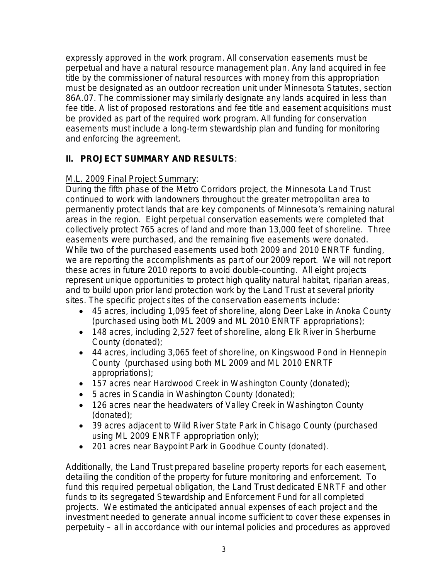expressly approved in the work program. All conservation easements must be perpetual and have a natural resource management plan. Any land acquired in fee title by the commissioner of natural resources with money from this appropriation must be designated as an outdoor recreation unit under Minnesota Statutes, section 86A.07. The commissioner may similarly designate any lands acquired in less than fee title. A list of proposed restorations and fee title and easement acquisitions must be provided as part of the required work program. All funding for conservation easements must include a long-term stewardship plan and funding for monitoring and enforcing the agreement.

# **II. PROJECT SUMMARY AND RESULTS**:

# M.L. 2009 Final Project Summary:

During the fifth phase of the Metro Corridors project, the Minnesota Land Trust continued to work with landowners throughout the greater metropolitan area to permanently protect lands that are key components of Minnesota's remaining natural areas in the region. Eight perpetual conservation easements were completed that collectively protect 765 acres of land and more than 13,000 feet of shoreline. Three easements were purchased, and the remaining five easements were donated. While two of the purchased easements used both 2009 and 2010 ENRTF funding, we are reporting the accomplishments as part of our 2009 report. We will not report these acres in future 2010 reports to avoid double-counting. All eight projects represent unique opportunities to protect high quality natural habitat, riparian areas, and to build upon prior land protection work by the Land Trust at several priority sites. The specific project sites of the conservation easements include:

- 45 acres, including 1,095 feet of shoreline, along Deer Lake in Anoka County (purchased using both ML 2009 and ML 2010 ENRTF appropriations);
- 148 acres, including 2,527 feet of shoreline, along Elk River in Sherburne County (donated);
- 44 acres, including 3,065 feet of shoreline, on Kingswood Pond in Hennepin County (purchased using both ML 2009 and ML 2010 ENRTF appropriations);
- 157 acres near Hardwood Creek in Washington County (donated);
- 5 acres in Scandia in Washington County (donated);
- 126 acres near the headwaters of Valley Creek in Washington County (donated);
- 39 acres adjacent to Wild River State Park in Chisago County (purchased using ML 2009 ENRTF appropriation only);
- 201 acres near Baypoint Park in Goodhue County (donated).

Additionally, the Land Trust prepared baseline property reports for each easement, detailing the condition of the property for future monitoring and enforcement. To fund this required perpetual obligation, the Land Trust dedicated ENRTF and other funds to its segregated Stewardship and Enforcement Fund for all completed projects. We estimated the anticipated annual expenses of each project and the investment needed to generate annual income sufficient to cover these expenses in perpetuity – all in accordance with our internal policies and procedures as approved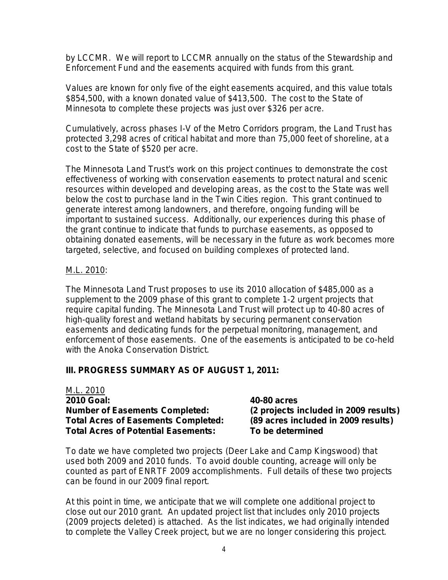by LCCMR. We will report to LCCMR annually on the status of the Stewardship and Enforcement Fund and the easements acquired with funds from this grant.

Values are known for only five of the eight easements acquired, and this value totals \$854,500, with a known donated value of \$413,500. The cost to the State of Minnesota to complete these projects was just over \$326 per acre.

Cumulatively, across phases I-V of the Metro Corridors program, the Land Trust has protected 3,298 acres of critical habitat and more than 75,000 feet of shoreline, at a cost to the State of \$520 per acre.

The Minnesota Land Trust's work on this project continues to demonstrate the cost effectiveness of working with conservation easements to protect natural and scenic resources within developed and developing areas, as the cost to the State was well below the cost to purchase land in the Twin Cities region. This grant continued to generate interest among landowners, and therefore, ongoing funding will be important to sustained success. Additionally, our experiences during this phase of the grant continue to indicate that funds to purchase easements, as opposed to obtaining donated easements, will be necessary in the future as work becomes more targeted, selective, and focused on building complexes of protected land.

## M.L. 2010:

The Minnesota Land Trust proposes to use its 2010 allocation of \$485,000 as a supplement to the 2009 phase of this grant to complete 1-2 urgent projects that require capital funding. The Minnesota Land Trust will protect up to 40-80 acres of high-quality forest and wetland habitats by securing permanent conservation easements and dedicating funds for the perpetual monitoring, management, and enforcement of those easements. One of the easements is anticipated to be co-held with the Anoka Conservation District.

## **III. PROGRESS SUMMARY AS OF AUGUST 1, 2011:**

M.L. 2010 **2010 Goal: 40-80 acres Number of Easements Completed: (2 projects included in 2009 results) Total Acres of Easements Completed: (89 acres included in 2009 results) Total Acres of Potential Easements: To be determined**

To date we have completed two projects (Deer Lake and Camp Kingswood) that used both 2009 and 2010 funds. To avoid double counting, acreage will only be counted as part of ENRTF 2009 accomplishments. Full details of these two projects can be found in our 2009 final report.

At this point in time, we anticipate that we will complete one additional project to close out our 2010 grant. An updated project list that includes only 2010 projects (2009 projects deleted) is attached. As the list indicates, we had originally intended to complete the Valley Creek project, but we are no longer considering this project.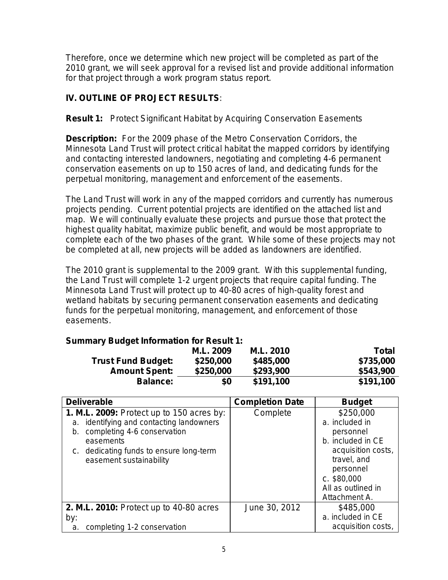Therefore, once we determine which new project will be completed as part of the 2010 grant, we will seek approval for a revised list and provide additional information for that project through a work program status report.

# **IV. OUTLINE OF PROJECT RESULTS***:*

## **Result 1:** Protect Significant Habitat by Acquiring Conservation Easements

**Description:** For the 2009 phase of the Metro Conservation Corridors, the Minnesota Land Trust will protect critical habitat the mapped corridors by identifying and contacting interested landowners, negotiating and completing 4-6 permanent conservation easements on up to 150 acres of land, and dedicating funds for the perpetual monitoring, management and enforcement of the easements.

The Land Trust will work in any of the mapped corridors and currently has numerous projects pending. Current potential projects are identified on the attached list and map. We will continually evaluate these projects and pursue those that protect the highest quality habitat, maximize public benefit, and would be most appropriate to complete each of the two phases of the grant. While some of these projects may not be completed at all, new projects will be added as landowners are identified.

The 2010 grant is supplemental to the 2009 grant. With this supplemental funding, the Land Trust will complete 1-2 urgent projects that require capital funding. The Minnesota Land Trust will protect up to 40-80 acres of high-quality forest and wetland habitats by securing permanent conservation easements and dedicating funds for the perpetual monitoring, management, and enforcement of those easements.

## **Summary Budget Information for Result 1:**

|                           | M.L. 2009 | M.L. 2010 | <b>Total</b> |
|---------------------------|-----------|-----------|--------------|
| <b>Trust Fund Budget:</b> | \$250,000 | \$485,000 | \$735,000    |
| <b>Amount Spent:</b>      | \$250,000 | \$293,900 | \$543,900    |
| <b>Balance:</b>           | \$0       | \$191,100 | \$191,100    |

| <b>Deliverable</b>                                                                                                                                                                                            | <b>Completion Date</b> | <b>Budget</b>                                                                                                                                          |
|---------------------------------------------------------------------------------------------------------------------------------------------------------------------------------------------------------------|------------------------|--------------------------------------------------------------------------------------------------------------------------------------------------------|
| 1. M.L. 2009: Protect up to 150 acres by:<br>a. identifying and contacting landowners<br>completing 4-6 conservation<br>b.<br>easements<br>c. dedicating funds to ensure long-term<br>easement sustainability | Complete               | \$250,000<br>a. included in<br>personnel<br>b. included in CE<br>acquisition costs,<br>travel, and<br>personnel<br>$c.$ \$80,000<br>All as outlined in |
|                                                                                                                                                                                                               |                        | Attachment A.                                                                                                                                          |
| 2. M.L. 2010: Protect up to 40-80 acres                                                                                                                                                                       | June 30, 2012          | \$485,000                                                                                                                                              |
| by:                                                                                                                                                                                                           |                        | a. included in CE                                                                                                                                      |
| completing 1-2 conservation<br>a.                                                                                                                                                                             |                        | acquisition costs,                                                                                                                                     |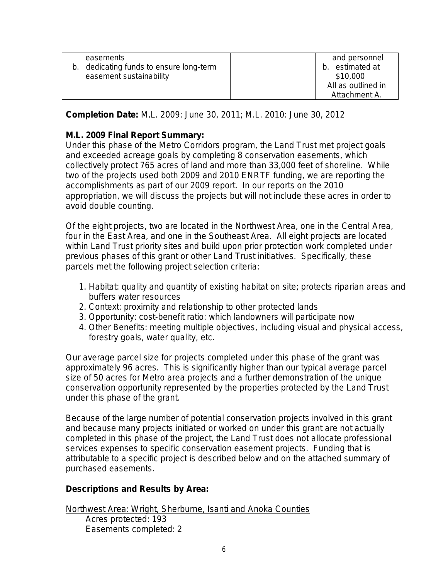|    | easements                            | and personnel      |
|----|--------------------------------------|--------------------|
| b. | dedicating funds to ensure long-term | estimated at<br>b. |
|    | easement sustainability              | \$10,000           |
|    |                                      | All as outlined in |
|    |                                      | Attachment A.      |
|    |                                      |                    |

**Completion Date:** M.L. 2009: June 30, 2011; M.L. 2010: June 30, 2012

# **M.L. 2009 Final Report Summary:**

Under this phase of the Metro Corridors program, the Land Trust met project goals and exceeded acreage goals by completing 8 conservation easements, which collectively protect 765 acres of land and more than 33,000 feet of shoreline. While two of the projects used both 2009 and 2010 ENRTF funding, we are reporting the accomplishments as part of our 2009 report. In our reports on the 2010 appropriation, we will discuss the projects but will not include these acres in order to avoid double counting.

Of the eight projects, two are located in the Northwest Area, one in the Central Area, four in the East Area, and one in the Southeast Area. All eight projects are located within Land Trust priority sites and build upon prior protection work completed under previous phases of this grant or other Land Trust initiatives. Specifically, these parcels met the following project selection criteria:

- 1. Habitat: quality and quantity of existing habitat on site; protects riparian areas and buffers water resources
- 2. Context: proximity and relationship to other protected lands
- 3. Opportunity: cost-benefit ratio: which landowners will participate now
- 4. Other Benefits: meeting multiple objectives, including visual and physical access, forestry goals, water quality, etc.

Our average parcel size for projects completed under this phase of the grant was approximately 96 acres. This is significantly higher than our typical average parcel size of 50 acres for Metro area projects and a further demonstration of the unique conservation opportunity represented by the properties protected by the Land Trust under this phase of the grant.

Because of the large number of potential conservation projects involved in this grant and because many projects initiated or worked on under this grant are not actually completed in this phase of the project, the Land Trust does not allocate professional services expenses to specific conservation easement projects. Funding that is attributable to a specific project is described below and on the attached summary of purchased easements.

# *Descriptions and Results by Area:*

Easements completed: 2

Northwest Area: Wright, Sherburne, Isanti and Anoka Counties Acres protected: 193

6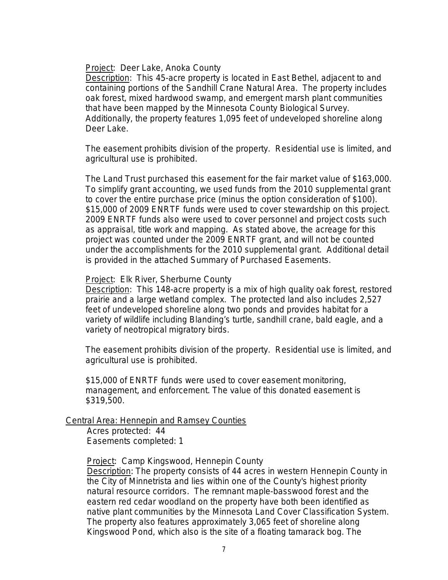### Project: Deer Lake, Anoka County

Description: This 45-acre property is located in East Bethel, adjacent to and containing portions of the Sandhill Crane Natural Area. The property includes oak forest, mixed hardwood swamp, and emergent marsh plant communities that have been mapped by the Minnesota County Biological Survey. Additionally, the property features 1,095 feet of undeveloped shoreline along Deer Lake.

The easement prohibits division of the property. Residential use is limited, and agricultural use is prohibited.

The Land Trust purchased this easement for the fair market value of \$163,000. To simplify grant accounting, we used funds from the 2010 supplemental grant to cover the entire purchase price (minus the option consideration of \$100). \$15,000 of 2009 ENRTF funds were used to cover stewardship on this project. 2009 ENRTF funds also were used to cover personnel and project costs such as appraisal, title work and mapping. As stated above, the acreage for this project was counted under the 2009 ENRTF grant, and will not be counted under the accomplishments for the 2010 supplemental grant. Additional detail is provided in the attached Summary of Purchased Easements.

### Project: Elk River, Sherburne County

Description: This 148-acre property is a mix of high quality oak forest, restored prairie and a large wetland complex. The protected land also includes 2,527 feet of undeveloped shoreline along two ponds and provides habitat for a variety of wildlife including Blanding's turtle, sandhill crane, bald eagle, and a variety of neotropical migratory birds.

The easement prohibits division of the property. Residential use is limited, and agricultural use is prohibited.

\$15,000 of ENRTF funds were used to cover easement monitoring, management, and enforcement. The value of this donated easement is \$319,500.

### Central Area: Hennepin and Ramsey Counties

Acres protected: 44 Easements completed: 1

Project: Camp Kingswood, Hennepin County

Description: The property consists of 44 acres in western Hennepin County in the City of Minnetrista and lies within one of the County's highest priority natural resource corridors. The remnant maple-basswood forest and the eastern red cedar woodland on the property have both been identified as native plant communities by the Minnesota Land Cover Classification System. The property also features approximately 3,065 feet of shoreline along Kingswood Pond, which also is the site of a floating tamarack bog. The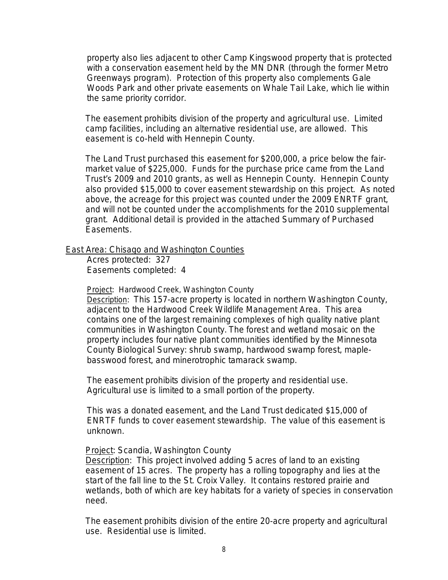property also lies adjacent to other Camp Kingswood property that is protected with a conservation easement held by the MN DNR (through the former Metro Greenways program). Protection of this property also complements Gale Woods Park and other private easements on Whale Tail Lake, which lie within the same priority corridor.

The easement prohibits division of the property and agricultural use. Limited camp facilities, including an alternative residential use, are allowed. This easement is co-held with Hennepin County.

The Land Trust purchased this easement for \$200,000, a price below the fairmarket value of \$225,000. Funds for the purchase price came from the Land Trust's 2009 and 2010 grants, as well as Hennepin County. Hennepin County also provided \$15,000 to cover easement stewardship on this project. As noted above, the acreage for this project was counted under the 2009 ENRTF grant, and will not be counted under the accomplishments for the 2010 supplemental grant. Additional detail is provided in the attached Summary of Purchased Easements.

## East Area: Chisago and Washington Counties

Acres protected: 327 Easements completed: 4

Project: Hardwood Creek, Washington County

Description: This 157-acre property is located in northern Washington County, adjacent to the Hardwood Creek Wildlife Management Area. This area contains one of the largest remaining complexes of high quality native plant communities in Washington County. The forest and wetland mosaic on the property includes four native plant communities identified by the Minnesota County Biological Survey: shrub swamp, hardwood swamp forest, maplebasswood forest, and minerotrophic tamarack swamp.

The easement prohibits division of the property and residential use. Agricultural use is limited to a small portion of the property.

This was a donated easement, and the Land Trust dedicated \$15,000 of ENRTF funds to cover easement stewardship. The value of this easement is unknown.

## **Project: Scandia, Washington County**

Description: This project involved adding 5 acres of land to an existing easement of 15 acres. The property has a rolling topography and lies at the start of the fall line to the St. Croix Valley. It contains restored prairie and wetlands, both of which are key habitats for a variety of species in conservation need.

The easement prohibits division of the entire 20-acre property and agricultural use. Residential use is limited.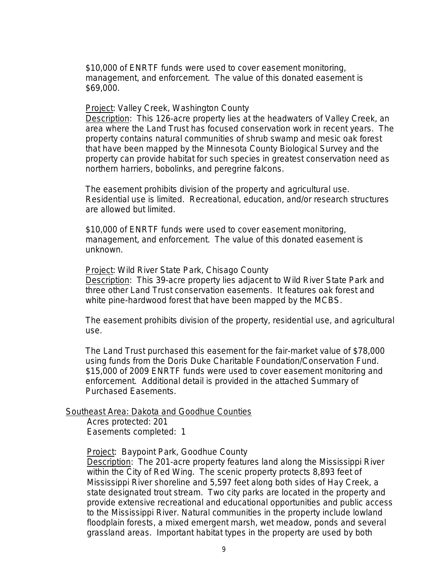\$10,000 of ENRTF funds were used to cover easement monitoring, management, and enforcement. The value of this donated easement is \$69,000.

### **Project: Valley Creek, Washington County**

Description:This 126-acre property lies at the headwaters of Valley Creek, an area where the Land Trust has focused conservation work in recent years. The property contains natural communities of shrub swamp and mesic oak forest that have been mapped by the Minnesota County Biological Survey and the property can provide habitat for such species in greatest conservation need as northern harriers, bobolinks, and peregrine falcons.

The easement prohibits division of the property and agricultural use. Residential use is limited. Recreational, education, and/or research structures are allowed but limited.

\$10,000 of ENRTF funds were used to cover easement monitoring, management, and enforcement. The value of this donated easement is unknown.

Project: Wild River State Park, Chisago County Description:This 39-acre property lies adjacent to Wild River State Park and three other Land Trust conservation easements. It features oak forest and white pine-hardwood forest that have been mapped by the MCBS.

The easement prohibits division of the property, residential use, and agricultural use.

The Land Trust purchased this easement for the fair-market value of \$78,000 using funds from the Doris Duke Charitable Foundation/Conservation Fund. \$15,000 of 2009 ENRTF funds were used to cover easement monitoring and enforcement. Additional detail is provided in the attached Summary of Purchased Easements.

## Southeast Area: Dakota and Goodhue Counties

Acres protected: 201 Easements completed: 1

Project: Baypoint Park, Goodhue County

Description: The 201-acre property features land along the Mississippi River within the City of Red Wing. The scenic property protects 8,893 feet of Mississippi River shoreline and 5,597 feet along both sides of Hay Creek, a state designated trout stream. Two city parks are located in the property and provide extensive recreational and educational opportunities and public access to the Mississippi River. Natural communities in the property include lowland floodplain forests, a mixed emergent marsh, wet meadow, ponds and several grassland areas. Important habitat types in the property are used by both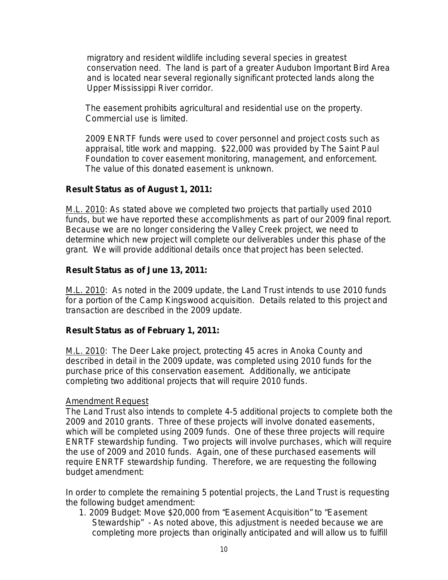migratory and resident wildlife including several species in greatest conservation need. The land is part of a greater Audubon Important Bird Area and is located near several regionally significant protected lands along the Upper Mississippi River corridor.

The easement prohibits agricultural and residential use on the property. Commercial use is limited.

2009 ENRTF funds were used to cover personnel and project costs such as appraisal, title work and mapping. \$22,000 was provided by The Saint Paul Foundation to cover easement monitoring, management, and enforcement. The value of this donated easement is unknown.

## **Result Status as of August 1, 2011:**

M.L. 2010: As stated above we completed two projects that partially used 2010 funds, but we have reported these accomplishments as part of our 2009 final report. Because we are no longer considering the Valley Creek project, we need to determine which new project will complete our deliverables under this phase of the grant. We will provide additional details once that project has been selected.

## **Result Status as of June 13, 2011:**

M.L. 2010: As noted in the 2009 update, the Land Trust intends to use 2010 funds for a portion of the Camp Kingswood acquisition. Details related to this project and transaction are described in the 2009 update.

# **Result Status as of February 1, 2011:**

M.L. 2010: The Deer Lake project, protecting 45 acres in Anoka County and described in detail in the 2009 update, was completed using 2010 funds for the purchase price of this conservation easement. Additionally, we anticipate completing two additional projects that will require 2010 funds.

## *Amendment Request*

The Land Trust also intends to complete 4-5 additional projects to complete both the 2009 and 2010 grants. Three of these projects will involve donated easements, which will be completed using 2009 funds. One of these three projects will require ENRTF stewardship funding. Two projects will involve purchases, which will require the use of 2009 and 2010 funds. Again, one of these purchased easements will require ENRTF stewardship funding. Therefore, we are requesting the following budget amendment:

In order to complete the remaining 5 potential projects, the Land Trust is requesting the following budget amendment:

1. 2009 Budget: Move \$20,000 from "Easement Acquisition" to "Easement Stewardship" - As noted above, this adjustment is needed because we are completing more projects than originally anticipated and will allow us to fulfill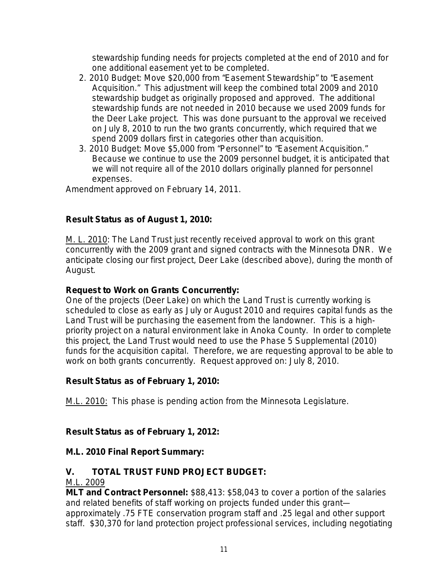stewardship funding needs for projects completed at the end of 2010 and for one additional easement yet to be completed.

- 2. 2010 Budget: Move \$20,000 from "Easement Stewardship" to "Easement Acquisition." This adjustment will keep the combined total 2009 and 2010 stewardship budget as originally proposed and approved. The additional stewardship funds are not needed in 2010 because we used 2009 funds for the Deer Lake project. This was done pursuant to the approval we received on July 8, 2010 to run the two grants concurrently, which required that we spend 2009 dollars first in categories other than acquisition.
- 3. 2010 Budget: Move \$5,000 from "Personnel" to "Easement Acquisition." Because we continue to use the 2009 personnel budget, it is anticipated that we will not require all of the 2010 dollars originally planned for personnel expenses.

Amendment approved on February 14, 2011.

# **Result Status as of August 1, 2010:**

M. L. 2010: The Land Trust just recently received approval to work on this grant concurrently with the 2009 grant and signed contracts with the Minnesota DNR. We anticipate closing our first project, Deer Lake (described above), during the month of August.

# **Request to Work on Grants Concurrently:**

One of the projects (Deer Lake) on which the Land Trust is currently working is scheduled to close as early as July or August 2010 and requires capital funds as the Land Trust will be purchasing the easement from the landowner. This is a highpriority project on a natural environment lake in Anoka County. In order to complete this project, the Land Trust would need to use the Phase 5 Supplemental (2010) funds for the acquisition capital. Therefore, we are requesting approval to be able to work on both grants concurrently. Request approved on: July 8, 2010.

# **Result Status as of February 1, 2010:**

M.L. 2010: This phase is pending action from the Minnesota Legislature.

# **Result Status as of February 1, 2012:**

# **M.L. 2010 Final Report Summary:**

# **V. TOTAL TRUST FUND PROJECT BUDGET:**

# M.L. 2009

**MLT and Contract Personnel:** \$88,413: \$58,043 to cover a portion of the salaries and related benefits of staff working on projects funded under this grant approximately .75 FTE conservation program staff and .25 legal and other support staff. \$30,370 for land protection project professional services, including negotiating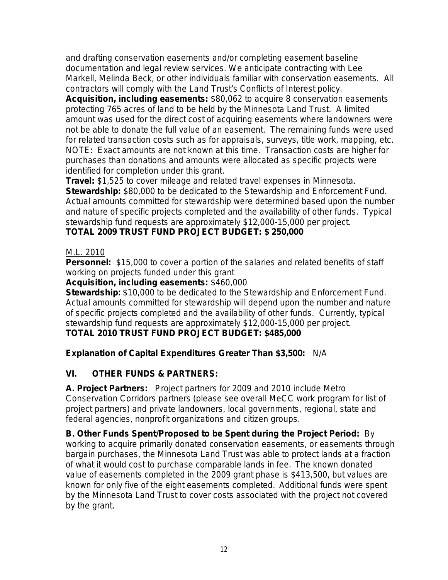and drafting conservation easements and/or completing easement baseline documentation and legal review services. We anticipate contracting with Lee Markell, Melinda Beck, or other individuals familiar with conservation easements. All contractors will comply with the Land Trust's Conflicts of Interest policy.

**Acquisition, including easements:** \$80,062 to acquire 8 conservation easements protecting 765 acres of land to be held by the Minnesota Land Trust. A limited amount was used for the direct cost of acquiring easements where landowners were not be able to donate the full value of an easement. The remaining funds were used for related transaction costs such as for appraisals, surveys, title work, mapping, etc. NOTE: Exact amounts are not known at this time. Transaction costs are higher for purchases than donations and amounts were allocated as specific projects were identified for completion under this grant.

**Travel:** \$1,525 to cover mileage and related travel expenses in Minnesota. **Stewardship:** \$80,000 to be dedicated to the Stewardship and Enforcement Fund. Actual amounts committed for stewardship were determined based upon the number and nature of specific projects completed and the availability of other funds. Typical stewardship fund requests are approximately \$12,000-15,000 per project. **TOTAL 2009 TRUST FUND PROJECT BUDGET: \$ 250,000**

# M.L. 2010

**Personnel:** \$15,000 to cover a portion of the salaries and related benefits of staff working on projects funded under this grant

## **Acquisition, including easements:** \$460,000

**Stewardship:** \$10,000 to be dedicated to the Stewardship and Enforcement Fund. Actual amounts committed for stewardship will depend upon the number and nature of specific projects completed and the availability of other funds. Currently, typical stewardship fund requests are approximately \$12,000-15,000 per project.

# **TOTAL 2010 TRUST FUND PROJECT BUDGET: \$485,000**

# **Explanation of Capital Expenditures Greater Than \$3,500:** N/A

# **VI. OTHER FUNDS & PARTNERS:**

**A. Project Partners:** Project partners for 2009 and 2010 include Metro Conservation Corridors partners (please see overall MeCC work program for list of project partners) and private landowners, local governments, regional, state and federal agencies, nonprofit organizations and citizen groups.

**B. Other Funds Spent/Proposed to be Spent during the Project Period:** By working to acquire primarily donated conservation easements, or easements through bargain purchases, the Minnesota Land Trust was able to protect lands at a fraction of what it would cost to purchase comparable lands in fee. The known donated value of easements completed in the 2009 grant phase is \$413,500, but values are known for only five of the eight easements completed. Additional funds were spent by the Minnesota Land Trust to cover costs associated with the project not covered by the grant.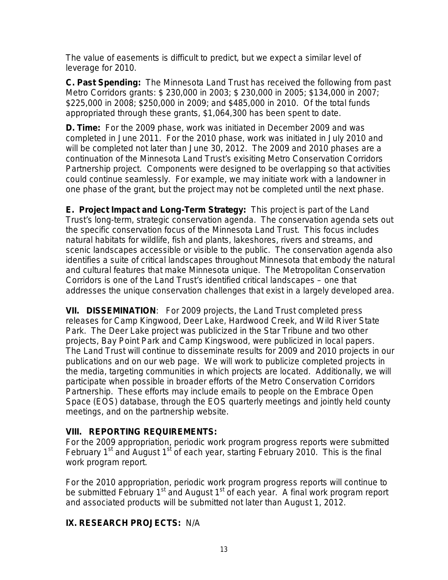The value of easements is difficult to predict, but we expect a similar level of leverage for 2010.

**C. Past Spending:** The Minnesota Land Trust has received the following from past Metro Corridors grants: \$ 230,000 in 2003; \$ 230,000 in 2005; \$134,000 in 2007; \$225,000 in 2008; \$250,000 in 2009; and \$485,000 in 2010. Of the total funds appropriated through these grants, \$1,064,300 has been spent to date.

**D. Time:** For the 2009 phase, work was initiated in December 2009 and was completed in June 2011. For the 2010 phase, work was initiated in July 2010 and will be completed not later than June 30, 2012. The 2009 and 2010 phases are a continuation of the Minnesota Land Trust's exisiting Metro Conservation Corridors Partnership project. Components were designed to be overlapping so that activities could continue seamlessly. For example, we may initiate work with a landowner in one phase of the grant, but the project may not be completed until the next phase.

**E. Project Impact and Long-Term Strategy:** This project is part of the Land Trust's long-term, strategic conservation agenda. The conservation agenda sets out the specific conservation focus of the Minnesota Land Trust. This focus includes natural habitats for wildlife, fish and plants, lakeshores, rivers and streams, and scenic landscapes accessible or visible to the public. The conservation agenda also identifies a suite of critical landscapes throughout Minnesota that embody the natural and cultural features that make Minnesota unique. The Metropolitan Conservation Corridors is one of the Land Trust's identified critical landscapes – one that addresses the unique conservation challenges that exist in a largely developed area.

**VII. DISSEMINATION**:For 2009 projects, the Land Trust completed press releases for Camp Kingwood, Deer Lake, Hardwood Creek, and Wild River State Park. The Deer Lake project was publicized in the Star Tribune and two other projects, Bay Point Park and Camp Kingswood, were publicized in local papers. The Land Trust will continue to disseminate results for 2009 and 2010 projects in our publications and on our web page. We will work to publicize completed projects in the media, targeting communities in which projects are located. Additionally, we will participate when possible in broader efforts of the Metro Conservation Corridors Partnership. These efforts may include emails to people on the Embrace Open Space (EOS) database, through the EOS quarterly meetings and jointly held county meetings, and on the partnership website.

# **VIII. REPORTING REQUIREMENTS:**

For the 2009 appropriation, periodic work program progress reports were submitted February  $1<sup>st</sup>$  and August  $1<sup>st</sup>$  of each year, starting February 2010. This is the final work program report.

For the 2010 appropriation, periodic work program progress reports will continue to be submitted February  $1<sup>st</sup>$  and August  $1<sup>st</sup>$  of each year. A final work program report and associated products will be submitted not later than August 1, 2012.

# **IX. RESEARCH PROJECTS:** N/A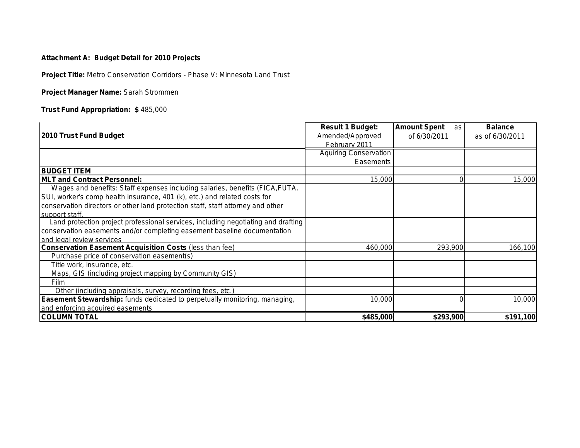### **Attachment A: Budget Detail for 2010 Projects**

**Project Title:** *Metro Conservation Corridors - Phase V: Minnesota Land Trust*

**Project Manager Name:** *Sarah Strommen*

**Trust Fund Appropriation: \$** *485,000*

|                                                                                   | <b>Result 1 Budget:</b>      | <b>Amount Spent</b><br>as l | <b>Balance</b>  |
|-----------------------------------------------------------------------------------|------------------------------|-----------------------------|-----------------|
| 2010 Trust Fund Budget                                                            | Amended/Approved             | of 6/30/2011                | as of 6/30/2011 |
|                                                                                   | February 2011                |                             |                 |
|                                                                                   | <b>Aquiring Conservation</b> |                             |                 |
|                                                                                   | Easements                    |                             |                 |
| <b>BUDGET ITEM</b>                                                                |                              |                             |                 |
| <b>IMLT and Contract Personnel:</b>                                               | 15,000                       |                             | 15,000          |
| Wages and benefits: Staff expenses including salaries, benefits (FICA, FUTA.      |                              |                             |                 |
| SUI, worker's comp health insurance, 401 (k), etc.) and related costs for         |                              |                             |                 |
| conservation directors or other land protection staff, staff attorney and other   |                              |                             |                 |
| support staff.                                                                    |                              |                             |                 |
| Land protection project professional services, including negotiating and drafting |                              |                             |                 |
| conservation easements and/or completing easement baseline documentation          |                              |                             |                 |
| and legal review services                                                         |                              |                             |                 |
| <b>Conservation Easement Acquisition Costs (less than fee)</b>                    | 460,000                      | 293,900                     | 166,100         |
| Purchase price of conservation easement(s)                                        |                              |                             |                 |
| Title work, insurance, etc.                                                       |                              |                             |                 |
| Maps, GIS (including project mapping by Community GIS)                            |                              |                             |                 |
| <b>Film</b>                                                                       |                              |                             |                 |
| Other (including appraisals, survey, recording fees, etc.)                        |                              |                             |                 |
| <b>Easement Stewardship:</b> funds dedicated to perpetually monitoring, managing, | 10,000                       |                             | 10,000          |
| and enforcing acquired easements                                                  |                              |                             |                 |
| <b>COLUMN TOTAL</b>                                                               | \$485,000                    | \$293,900                   | \$191,100       |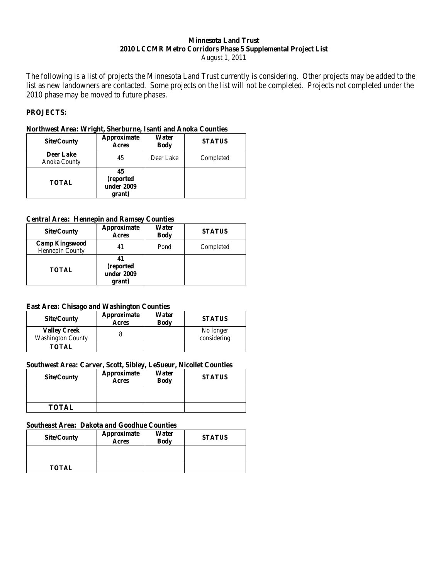#### **Minnesota Land Trust 2010 LCCMR Metro Corridors Phase 5 Supplemental Project List** August 1, 2011

The following is a list of projects the Minnesota Land Trust currently is considering. Other projects may be added to the list as new landowners are contacted. Some projects on the list will not be completed. Projects not completed under the 2010 phase may be moved to future phases.

#### **PROJECTS:**

#### **Northwest Area: Wright, Sherburne, Isanti and Anoka Counties**

| <b>Site/County</b>               | Approximate<br><b>Acres</b>              | Water<br><b>Body</b> | <b>STATUS</b> |
|----------------------------------|------------------------------------------|----------------------|---------------|
| <b>Deer Lake</b><br>Anoka County | 45                                       | Deer Lake            | Completed     |
| <b>TOTAL</b>                     | 45<br>(reported)<br>under 2009<br>grant) |                      |               |

#### **Central Area: Hennepin and Ramsey Counties**

| <b>Site/County</b>                       | Approximate<br>Acres                     | Water<br><b>Body</b> | <b>STATUS</b> |
|------------------------------------------|------------------------------------------|----------------------|---------------|
| <b>Camp Kingswood</b><br>Hennepin County | 41                                       | Pond                 | Completed     |
| <b>TOTAL</b>                             | 41<br>(reported)<br>under 2009<br>grant) |                      |               |

#### **East Area: Chisago and Washington Counties**

| Site/County                                     | Approximate<br><b>Acres</b> | Water<br><b>Body</b> | <b>STATUS</b>            |
|-------------------------------------------------|-----------------------------|----------------------|--------------------------|
| <b>Valley Creek</b><br><b>Washington County</b> |                             |                      | No longer<br>considering |
| <b>TOTAL</b>                                    |                             |                      |                          |

#### **Southwest Area: Carver, Scott, Sibley, LeSueur, Nicollet Counties**

| <b>Site/County</b> | Approximate<br>Acres | Water<br><b>Body</b> | <b>STATUS</b> |
|--------------------|----------------------|----------------------|---------------|
|                    |                      |                      |               |
| <b>TOTAL</b>       |                      |                      |               |

#### **Southeast Area: Dakota and Goodhue Counties**

| <b>Site/County</b> | Approximate<br>Acres | Water<br><b>Body</b> | <b>STATUS</b> |
|--------------------|----------------------|----------------------|---------------|
|                    |                      |                      |               |
| <b>TOTAL</b>       |                      |                      |               |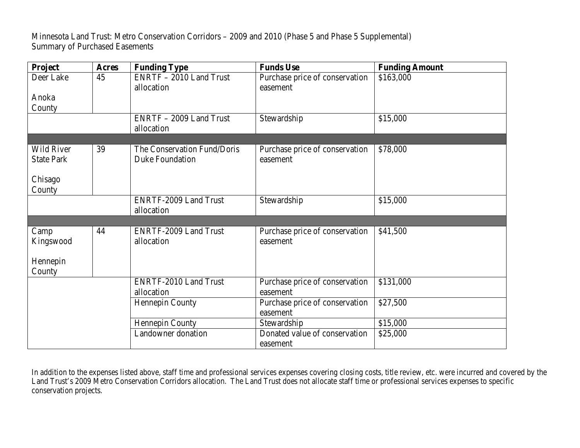Minnesota Land Trust: Metro Conservation Corridors – 2009 and 2010 (Phase 5 and Phase 5 Supplemental) Summary of Purchased Easements

| Project                                | <b>Acres</b> | <b>Funding Type</b>                                   | <b>Funds Use</b>                           | <b>Funding Amount</b> |
|----------------------------------------|--------------|-------------------------------------------------------|--------------------------------------------|-----------------------|
| Deer Lake                              | 45           | ENRTF - 2010 Land Trust<br>allocation                 | Purchase price of conservation<br>easement | \$163,000             |
| Anoka                                  |              |                                                       |                                            |                       |
| County                                 |              |                                                       |                                            |                       |
|                                        |              | ENRTF - 2009 Land Trust<br>allocation                 | Stewardship                                | \$15,000              |
|                                        |              |                                                       |                                            |                       |
| <b>Wild River</b><br><b>State Park</b> | 39           | The Conservation Fund/Doris<br><b>Duke Foundation</b> | Purchase price of conservation<br>easement | \$78,000              |
| Chisago<br>County                      |              |                                                       |                                            |                       |
|                                        |              | <b>ENRTF-2009 Land Trust</b><br>allocation            | Stewardship                                | \$15,000              |
|                                        |              |                                                       |                                            |                       |
| Camp<br>Kingswood                      | 44           | <b>ENRTF-2009 Land Trust</b><br>allocation            | Purchase price of conservation<br>easement | \$41,500              |
| Hennepin<br>County                     |              |                                                       |                                            |                       |
|                                        |              | <b>ENRTF-2010 Land Trust</b><br>allocation            | Purchase price of conservation<br>easement | \$131,000             |
|                                        |              | Hennepin County                                       | Purchase price of conservation<br>easement | \$27,500              |
|                                        |              | Hennepin County                                       | Stewardship                                | \$15,000              |
|                                        |              | Landowner donation                                    | Donated value of conservation<br>easement  | \$25,000              |

In addition to the expenses listed above, staff time and professional services expenses covering closing costs, title review, etc. were incurred and covered by the Land Trust's 2009 Metro Conservation Corridors allocation. The Land Trust does not allocate staff time or professional services expenses to specific conservation projects.